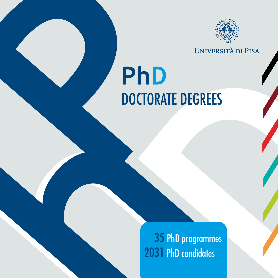

UNIVERSITÀ DI PISA

## **PhD**<br>DOCTORATE DE TORATE DEGREES<br>
35 PhD programmes<br>
2031 PhD candidates DOCTORATE DEGREES **PhD**

**h** 35 PhD programmes 2031 PhD candidates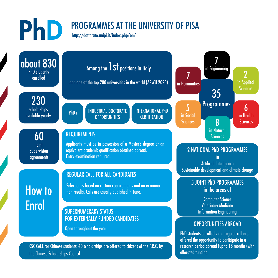## PROGRAMMES AT THE UNIVERSITY OF PISA

<http://dottorato.unipi.it/index.php/en/>



the Chinese Scholarships Council.

PhD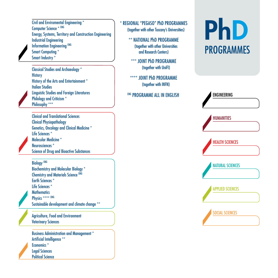Civil and Enviromental Engineering \* Computer Science \* ENG Energy, Systems, Territory and Construction Engineering Industrial Engineering Information Engineering ENG Smart Computing \* Smart Industry \*

Classical Studies and Archaeology \* **History** History of the Arts and Entertainment \* Italian Studies Linguistic Studies and Foreign Literatures Philology and Criticism \* Philosophy \*\*\*

Clinical and Translational Sciences Clinical Physiopathology Genetics, Oncology and Clinical Medicine \* Life Sciences \* Molecular Medicine \* Neurosciences \* Science of Drug and Bioactive Substances

Biology ENG Biochemistry and Molecular Biology \* Chemistry and Materials Science ENG Earth Sciences \* Life Sciences \* **Mathematics** Physics \*\*\*\* ENG Sustainable development and climate change \*\*

Agriculture, Food and Environment Veterinary Sciences

Business Administration and Management \* Artificial Intelligence \*\* Economics \* Legal Sciences Political Science

## \* REGIONAL "PEGASO" PhD PROGRAMMES

(together with other Tuscany's Universities)

\*\* NATIONAL PhD PROGRAMME (together with other Universities and Research Centers)

\*\*\* JOINT PHD PROGRAMME (together with UniFI)

\*\*\*\* JOINT PhD PROGRAMME (together with INFN)

**ENG PROGRAMME ALL IN ENGLISH** 

## PhD PROGRAMMES